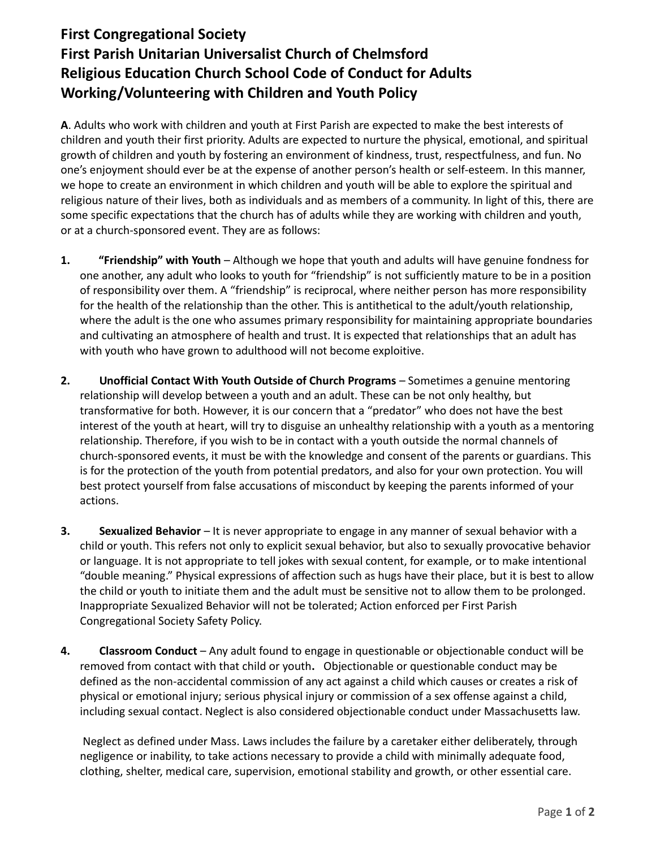## **First Congregational Society First Parish Unitarian Universalist Church of Chelmsford Religious Education Church School Code of Conduct for Adults Working/Volunteering with Children and Youth Policy**

**A**. Adults who work with children and youth at First Parish are expected to make the best interests of children and youth their first priority. Adults are expected to nurture the physical, emotional, and spiritual growth of children and youth by fostering an environment of kindness, trust, respectfulness, and fun. No one's enjoyment should ever be at the expense of another person's health or self-esteem. In this manner, we hope to create an environment in which children and youth will be able to explore the spiritual and religious nature of their lives, both as individuals and as members of a community. In light of this, there are some specific expectations that the church has of adults while they are working with children and youth, or at a church-sponsored event. They are as follows:

- **1. "Friendship" with Youth** Although we hope that youth and adults will have genuine fondness for one another, any adult who looks to youth for "friendship" is not sufficiently mature to be in a position of responsibility over them. A "friendship" is reciprocal, where neither person has more responsibility for the health of the relationship than the other. This is antithetical to the adult/youth relationship, where the adult is the one who assumes primary responsibility for maintaining appropriate boundaries and cultivating an atmosphere of health and trust. It is expected that relationships that an adult has with youth who have grown to adulthood will not become exploitive.
- **2. Unofficial Contact With Youth Outside of Church Programs**  Sometimes a genuine mentoring relationship will develop between a youth and an adult. These can be not only healthy, but transformative for both. However, it is our concern that a "predator" who does not have the best interest of the youth at heart, will try to disguise an unhealthy relationship with a youth as a mentoring relationship. Therefore, if you wish to be in contact with a youth outside the normal channels of church-sponsored events, it must be with the knowledge and consent of the parents or guardians. This is for the protection of the youth from potential predators, and also for your own protection. You will best protect yourself from false accusations of misconduct by keeping the parents informed of your actions.
- **3. Sexualized Behavior** It is never appropriate to engage in any manner of sexual behavior with a child or youth. This refers not only to explicit sexual behavior, but also to sexually provocative behavior or language. It is not appropriate to tell jokes with sexual content, for example, or to make intentional "double meaning." Physical expressions of affection such as hugs have their place, but it is best to allow the child or youth to initiate them and the adult must be sensitive not to allow them to be prolonged. Inappropriate Sexualized Behavior will not be tolerated; Action enforced per First Parish Congregational Society Safety Policy.
- **4. Classroom Conduct**  Any adult found to engage in questionable or objectionable conduct will be removed from contact with that child or youth**.** Objectionable or questionable conduct may be defined as the non-accidental commission of any act against a child which causes or creates a risk of physical or emotional injury; serious physical injury or commission of a sex offense against a child, including sexual contact. Neglect is also considered objectionable conduct under Massachusetts law.

Neglect as defined under Mass. Laws includes the failure by a caretaker either deliberately, through negligence or inability, to take actions necessary to provide a child with minimally adequate food, clothing, shelter, medical care, supervision, emotional stability and growth, or other essential care.